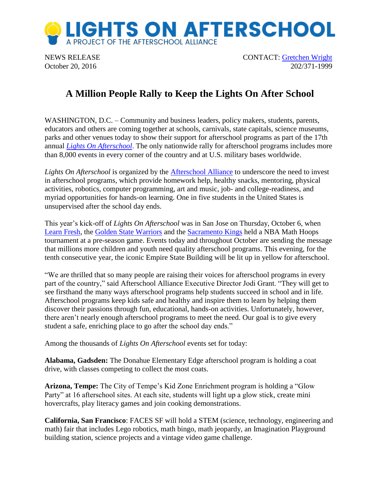

NEWS RELEASE CONTACT: [Gretchen Wright](mailto:gretchen@prsolutionsdc.com) October 20, 2016 202/371-1999

## **A Million People Rally to Keep the Lights On After School**

WASHINGTON, D.C. – Community and business leaders, policy makers, students, parents, educators and others are coming together at schools, carnivals, state capitals, science museums, parks and other venues today to show their support for afterschool programs as part of the 17th annual *[Lights On Afterschool](http://www.afterschoolalliance.org/loa.cfm)*. The only nationwide rally for afterschool programs includes more than 8,000 events in every corner of the country and at U.S. military bases worldwide.

*Lights On Afterschool* is organized by the [Afterschool Alliance](http://www.afterschoolalliance.org/) to underscore the need to invest in afterschool programs, which provide homework help, healthy snacks, mentoring, physical activities, robotics, computer programming, art and music, job- and college-readiness, and myriad opportunities for hands-on learning. One in five students in the United States is unsupervised after the school day ends.

This year's kick-off of *Lights On Afterschool* was in San Jose on Thursday, October 6, when [Learn Fresh,](http://www.learnfresh.org/) the [Golden State Warriors](http://www.nba.com/warriors/community/mathhoops/) and the [Sacramento Kings](http://www.nba.com/kings/math-hoops-championships/) held a NBA Math Hoops tournament at a pre-season game. Events today and throughout October are sending the message that millions more children and youth need quality afterschool programs. This evening, for the tenth consecutive year, the iconic Empire State Building will be lit up in yellow for afterschool.

"We are thrilled that so many people are raising their voices for afterschool programs in every part of the country," said Afterschool Alliance Executive Director Jodi Grant. "They will get to see firsthand the many ways afterschool programs help students succeed in school and in life. Afterschool programs keep kids safe and healthy and inspire them to learn by helping them discover their passions through fun, educational, hands-on activities. Unfortunately, however, there aren't nearly enough afterschool programs to meet the need. Our goal is to give every student a safe, enriching place to go after the school day ends."

Among the thousands of *Lights On Afterschool* events set for today:

**Alabama, Gadsden:** The Donahue Elementary Edge afterschool program is holding a coat drive, with classes competing to collect the most coats.

**Arizona, Tempe:** The City of Tempe's Kid Zone Enrichment program is holding a "Glow Party" at 16 afterschool sites. At each site, students will light up a glow stick, create mini hovercrafts, play literacy games and join cooking demonstrations.

**California, San Francisco**: FACES SF will hold a STEM (science, technology, engineering and math) fair that includes Lego robotics, math bingo, math jeopardy, an Imagination Playground building station, science projects and a vintage video game challenge.